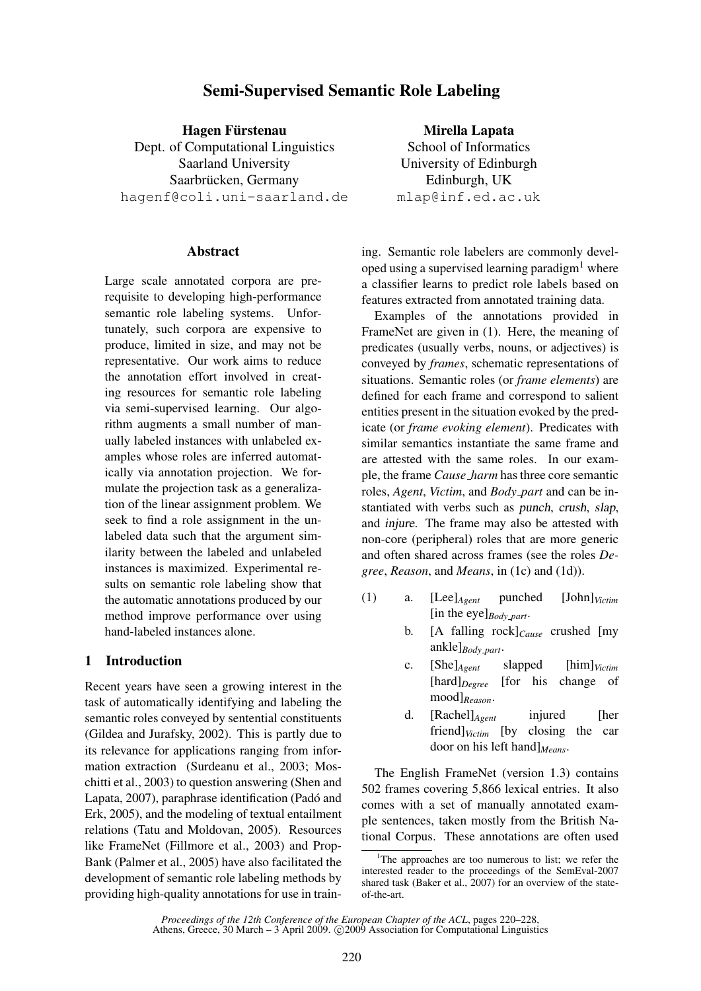# Semi-Supervised Semantic Role Labeling

Hagen Fürstenau Dept. of Computational Linguistics Saarland University Saarbrücken, Germany hagenf@coli.uni-saarland.de

### Abstract

Large scale annotated corpora are prerequisite to developing high-performance semantic role labeling systems. Unfortunately, such corpora are expensive to produce, limited in size, and may not be representative. Our work aims to reduce the annotation effort involved in creating resources for semantic role labeling via semi-supervised learning. Our algorithm augments a small number of manually labeled instances with unlabeled examples whose roles are inferred automatically via annotation projection. We formulate the projection task as a generalization of the linear assignment problem. We seek to find a role assignment in the unlabeled data such that the argument similarity between the labeled and unlabeled instances is maximized. Experimental results on semantic role labeling show that the automatic annotations produced by our method improve performance over using hand-labeled instances alone.

# 1 Introduction

Recent years have seen a growing interest in the task of automatically identifying and labeling the semantic roles conveyed by sentential constituents (Gildea and Jurafsky, 2002). This is partly due to its relevance for applications ranging from information extraction (Surdeanu et al., 2003; Moschitti et al., 2003) to question answering (Shen and Lapata, 2007), paraphrase identification (Padó and Erk, 2005), and the modeling of textual entailment relations (Tatu and Moldovan, 2005). Resources like FrameNet (Fillmore et al., 2003) and Prop-Bank (Palmer et al., 2005) have also facilitated the development of semantic role labeling methods by providing high-quality annotations for use in train-

Mirella Lapata School of Informatics University of Edinburgh Edinburgh, UK mlap@inf.ed.ac.uk

ing. Semantic role labelers are commonly developed using a supervised learning paradigm<sup>1</sup> where a classifier learns to predict role labels based on features extracted from annotated training data.

Examples of the annotations provided in FrameNet are given in (1). Here, the meaning of predicates (usually verbs, nouns, or adjectives) is conveyed by *frames*, schematic representations of situations. Semantic roles (or *frame elements*) are defined for each frame and correspond to salient entities present in the situation evoked by the predicate (or *frame evoking element*). Predicates with similar semantics instantiate the same frame and are attested with the same roles. In our example, the frame *Cause harm* has three core semantic roles, *Agent*, *Victim*, and *Body part* and can be instantiated with verbs such as punch, crush, slap, and injure. The frame may also be attested with non-core (peripheral) roles that are more generic and often shared across frames (see the roles *Degree*, *Reason*, and *Means*, in (1c) and (1d)).

- (1) a. [Lee]*Agent* punched [John]*Victim* [in the eye]*Body part*.
	- b. [A falling rock]*Cause* crushed [my ankle]*Body part*.
	- c. [She]*Agent* slapped [him]*Victim* [hard]*Degree* [for his change of mood]*Reason*.
	- d. [Rachel]*Agent* injured [her friend]*Victim* [by closing the car door on his left hand]*Means*.

The English FrameNet (version 1.3) contains 502 frames covering 5,866 lexical entries. It also comes with a set of manually annotated example sentences, taken mostly from the British National Corpus. These annotations are often used

*Proceedings of the 12th Conference of the European Chapter of the ACL*, pages 220–228,

<sup>&</sup>lt;sup>1</sup>The approaches are too numerous to list; we refer the interested reader to the proceedings of the SemEval-2007 shared task (Baker et al., 2007) for an overview of the stateof-the-art.

Athens, Greece, 30 March – 3 April 2009. ©2009 Association for Computational Linguistics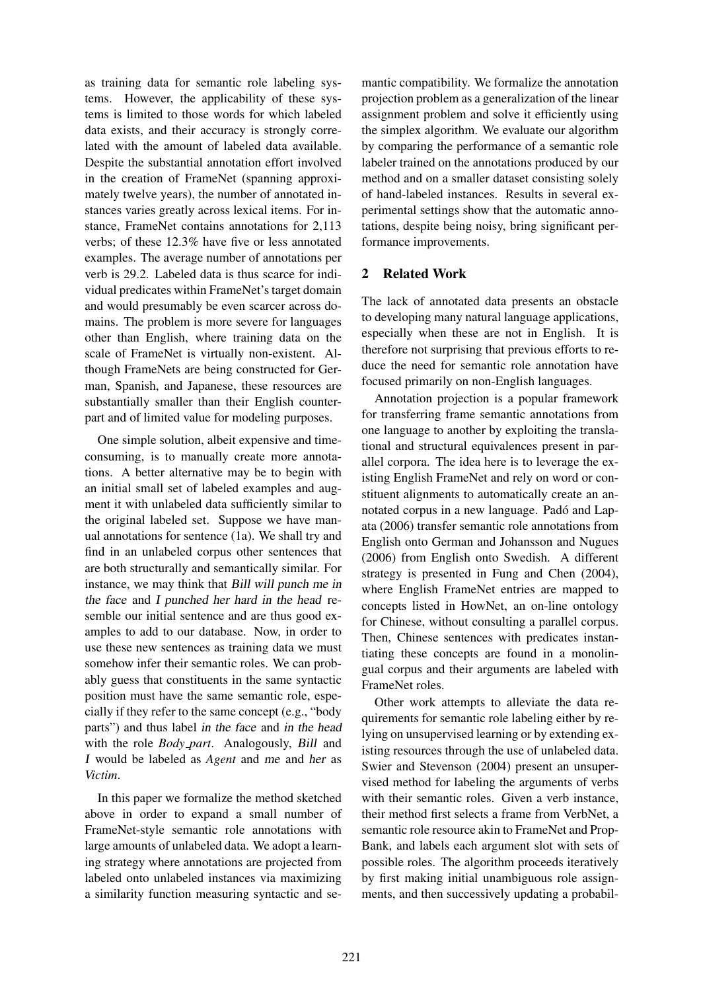as training data for semantic role labeling systems. However, the applicability of these systems is limited to those words for which labeled data exists, and their accuracy is strongly correlated with the amount of labeled data available. Despite the substantial annotation effort involved in the creation of FrameNet (spanning approximately twelve years), the number of annotated instances varies greatly across lexical items. For instance, FrameNet contains annotations for 2,113 verbs; of these 12.3% have five or less annotated examples. The average number of annotations per verb is 29.2. Labeled data is thus scarce for individual predicates within FrameNet's target domain and would presumably be even scarcer across domains. The problem is more severe for languages other than English, where training data on the scale of FrameNet is virtually non-existent. Although FrameNets are being constructed for German, Spanish, and Japanese, these resources are substantially smaller than their English counterpart and of limited value for modeling purposes.

One simple solution, albeit expensive and timeconsuming, is to manually create more annotations. A better alternative may be to begin with an initial small set of labeled examples and augment it with unlabeled data sufficiently similar to the original labeled set. Suppose we have manual annotations for sentence (1a). We shall try and find in an unlabeled corpus other sentences that are both structurally and semantically similar. For instance, we may think that Bill will punch me in the face and I punched her hard in the head resemble our initial sentence and are thus good examples to add to our database. Now, in order to use these new sentences as training data we must somehow infer their semantic roles. We can probably guess that constituents in the same syntactic position must have the same semantic role, especially if they refer to the same concept (e.g., "body parts") and thus label in the face and in the head with the role *Body\_part*. Analogously, *Bill* and I would be labeled as *Agent* and me and her as *Victim*.

In this paper we formalize the method sketched above in order to expand a small number of FrameNet-style semantic role annotations with large amounts of unlabeled data. We adopt a learning strategy where annotations are projected from labeled onto unlabeled instances via maximizing a similarity function measuring syntactic and se-

mantic compatibility. We formalize the annotation projection problem as a generalization of the linear assignment problem and solve it efficiently using the simplex algorithm. We evaluate our algorithm by comparing the performance of a semantic role labeler trained on the annotations produced by our method and on a smaller dataset consisting solely of hand-labeled instances. Results in several experimental settings show that the automatic annotations, despite being noisy, bring significant performance improvements.

# 2 Related Work

The lack of annotated data presents an obstacle to developing many natural language applications, especially when these are not in English. It is therefore not surprising that previous efforts to reduce the need for semantic role annotation have focused primarily on non-English languages.

Annotation projection is a popular framework for transferring frame semantic annotations from one language to another by exploiting the translational and structural equivalences present in parallel corpora. The idea here is to leverage the existing English FrameNet and rely on word or constituent alignments to automatically create an annotated corpus in a new language. Padó and Lapata (2006) transfer semantic role annotations from English onto German and Johansson and Nugues (2006) from English onto Swedish. A different strategy is presented in Fung and Chen (2004), where English FrameNet entries are mapped to concepts listed in HowNet, an on-line ontology for Chinese, without consulting a parallel corpus. Then, Chinese sentences with predicates instantiating these concepts are found in a monolingual corpus and their arguments are labeled with FrameNet roles.

Other work attempts to alleviate the data requirements for semantic role labeling either by relying on unsupervised learning or by extending existing resources through the use of unlabeled data. Swier and Stevenson (2004) present an unsupervised method for labeling the arguments of verbs with their semantic roles. Given a verb instance, their method first selects a frame from VerbNet, a semantic role resource akin to FrameNet and Prop-Bank, and labels each argument slot with sets of possible roles. The algorithm proceeds iteratively by first making initial unambiguous role assignments, and then successively updating a probabil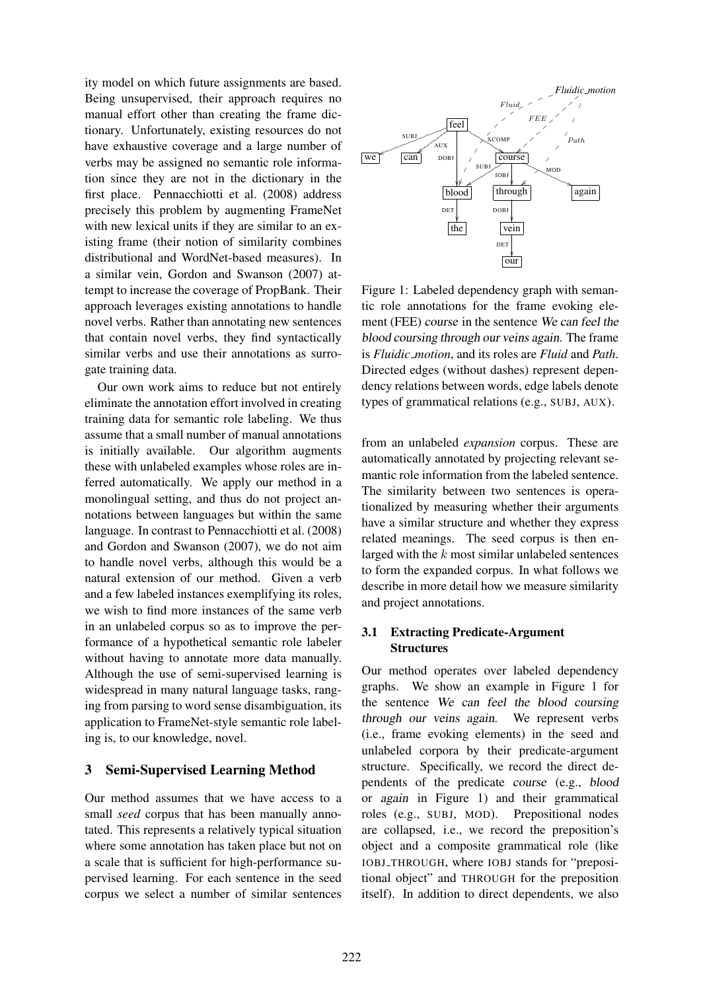ity model on which future assignments are based. Being unsupervised, their approach requires no manual effort other than creating the frame dictionary. Unfortunately, existing resources do not have exhaustive coverage and a large number of verbs may be assigned no semantic role information since they are not in the dictionary in the first place. Pennacchiotti et al. (2008) address precisely this problem by augmenting FrameNet with new lexical units if they are similar to an existing frame (their notion of similarity combines distributional and WordNet-based measures). In a similar vein, Gordon and Swanson (2007) attempt to increase the coverage of PropBank. Their approach leverages existing annotations to handle novel verbs. Rather than annotating new sentences that contain novel verbs, they find syntactically similar verbs and use their annotations as surrogate training data.

Our own work aims to reduce but not entirely eliminate the annotation effort involved in creating training data for semantic role labeling. We thus assume that a small number of manual annotations is initially available. Our algorithm augments these with unlabeled examples whose roles are inferred automatically. We apply our method in a monolingual setting, and thus do not project annotations between languages but within the same language. In contrast to Pennacchiotti et al. (2008) and Gordon and Swanson (2007), we do not aim to handle novel verbs, although this would be a natural extension of our method. Given a verb and a few labeled instances exemplifying its roles, we wish to find more instances of the same verb in an unlabeled corpus so as to improve the performance of a hypothetical semantic role labeler without having to annotate more data manually. Although the use of semi-supervised learning is widespread in many natural language tasks, ranging from parsing to word sense disambiguation, its application to FrameNet-style semantic role labeling is, to our knowledge, novel.

### 3 Semi-Supervised Learning Method

Our method assumes that we have access to a small *seed* corpus that has been manually annotated. This represents a relatively typical situation where some annotation has taken place but not on a scale that is sufficient for high-performance supervised learning. For each sentence in the seed corpus we select a number of similar sentences



Figure 1: Labeled dependency graph with semantic role annotations for the frame evoking element (FEE) course in the sentence We can feel the blood coursing through our veins again. The frame is *Fluidic motion*, and its roles are *Fluid* and *Path*. Directed edges (without dashes) represent dependency relations between words, edge labels denote types of grammatical relations (e.g., SUBJ, AUX).

from an unlabeled *expansion* corpus. These are automatically annotated by projecting relevant semantic role information from the labeled sentence. The similarity between two sentences is operationalized by measuring whether their arguments have a similar structure and whether they express related meanings. The seed corpus is then enlarged with the k most similar unlabeled sentences to form the expanded corpus. In what follows we describe in more detail how we measure similarity and project annotations.

# 3.1 Extracting Predicate-Argument **Structures**

Our method operates over labeled dependency graphs. We show an example in Figure 1 for the sentence We can feel the blood coursing through our veins again. We represent verbs (i.e., frame evoking elements) in the seed and unlabeled corpora by their predicate-argument structure. Specifically, we record the direct dependents of the predicate course (e.g., blood or again in Figure 1) and their grammatical roles (e.g., SUBJ, MOD). Prepositional nodes are collapsed, i.e., we record the preposition's object and a composite grammatical role (like IOBJ THROUGH, where IOBJ stands for "prepositional object" and THROUGH for the preposition itself). In addition to direct dependents, we also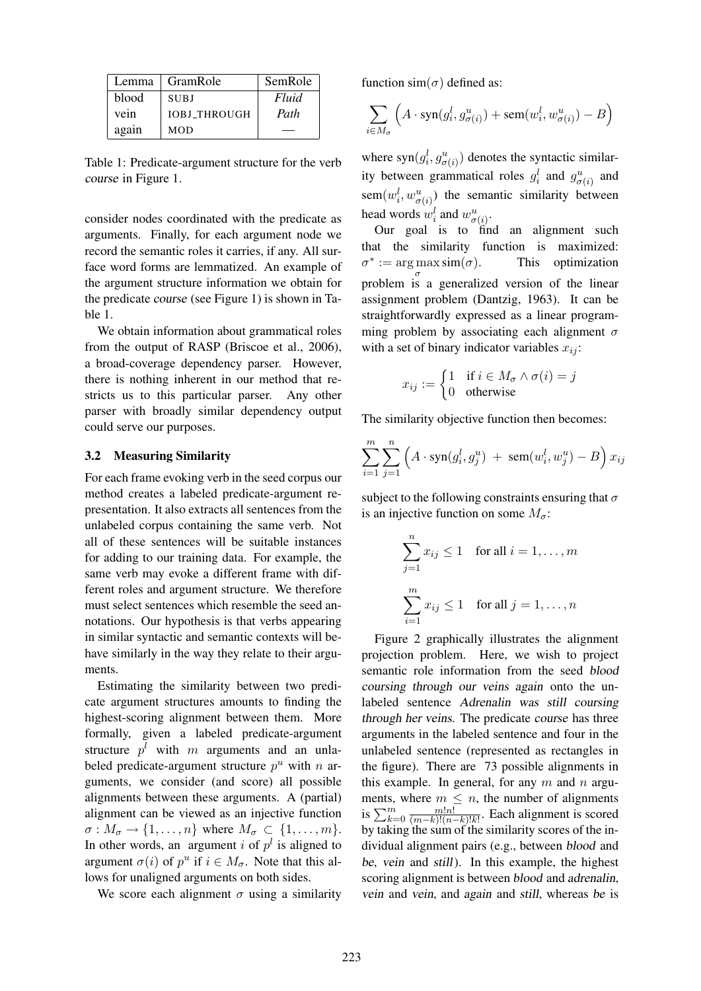| Lemma | GramRole            | SemRole |
|-------|---------------------|---------|
| blood | <b>SUBJ</b>         | Fluid   |
| vein  | <b>IOBJ THROUGH</b> | Path    |
| again | MOD                 |         |

Table 1: Predicate-argument structure for the verb course in Figure 1.

consider nodes coordinated with the predicate as arguments. Finally, for each argument node we record the semantic roles it carries, if any. All surface word forms are lemmatized. An example of the argument structure information we obtain for the predicate course (see Figure 1) is shown in Table 1.

We obtain information about grammatical roles from the output of RASP (Briscoe et al., 2006), a broad-coverage dependency parser. However, there is nothing inherent in our method that restricts us to this particular parser. Any other parser with broadly similar dependency output could serve our purposes.

### 3.2 Measuring Similarity

For each frame evoking verb in the seed corpus our method creates a labeled predicate-argument representation. It also extracts all sentences from the unlabeled corpus containing the same verb. Not all of these sentences will be suitable instances for adding to our training data. For example, the same verb may evoke a different frame with different roles and argument structure. We therefore must select sentences which resemble the seed annotations. Our hypothesis is that verbs appearing in similar syntactic and semantic contexts will behave similarly in the way they relate to their arguments.

Estimating the similarity between two predicate argument structures amounts to finding the highest-scoring alignment between them. More formally, given a labeled predicate-argument structure  $p^{l}$  with m arguments and an unlabeled predicate-argument structure  $p^u$  with n arguments, we consider (and score) all possible alignments between these arguments. A (partial) alignment can be viewed as an injective function  $\sigma: M_{\sigma} \to \{1, \ldots, n\}$  where  $M_{\sigma} \subset \{1, \ldots, m\}.$ In other words, an argument i of  $p<sup>l</sup>$  is aligned to argument  $\sigma(i)$  of  $p^u$  if  $i \in M_{\sigma}$ . Note that this allows for unaligned arguments on both sides.

We score each alignment  $\sigma$  using a similarity

function sim( $\sigma$ ) defined as:

$$
\sum_{i \in M_{\sigma}} \left( A \cdot \text{syn}(g_i^l, g_{\sigma(i)}^u) + \text{sem}(w_i^l, w_{\sigma(i)}^u) - B \right)
$$

where  $syn(g_i^l, g_{\sigma(i)}^u)$  denotes the syntactic similarity between grammatical roles  $g_i^l$  and  $g_{\sigma(i)}^u$  and  $sem(w_i^l, w_{\sigma(i)}^u)$  the semantic similarity between head words  $w_i^l$  and  $w_{\sigma(i)}^u$ .

Our goal is to find an alignment such that the similarity function is maximized:  $\sigma^* := \arg \max$ σ problem is a generalized version of the linear This optimization. assignment problem (Dantzig, 1963). It can be straightforwardly expressed as a linear programming problem by associating each alignment  $\sigma$ with a set of binary indicator variables  $x_{ij}$ :

$$
x_{ij} := \begin{cases} 1 & \text{if } i \in M_{\sigma} \land \sigma(i) = j \\ 0 & \text{otherwise} \end{cases}
$$

The similarity objective function then becomes:

$$
\sum_{i=1}^{m} \sum_{j=1}^{n} \left( A \cdot \text{syn}(g_i^l, g_j^u) + \text{sem}(w_i^l, w_j^u) - B \right) x_{ij}
$$

subject to the following constraints ensuring that  $\sigma$ is an injective function on some  $M_{\sigma}$ :

$$
\sum_{j=1}^{n} x_{ij} \le 1 \quad \text{for all } i = 1, \dots, m
$$

$$
\sum_{i=1}^{m} x_{ij} \le 1 \quad \text{for all } j = 1, \dots, n
$$

Figure 2 graphically illustrates the alignment projection problem. Here, we wish to project semantic role information from the seed blood coursing through our veins again onto the unlabeled sentence Adrenalin was still coursing through her veins. The predicate course has three arguments in the labeled sentence and four in the unlabeled sentence (represented as rectangles in the figure). There are 73 possible alignments in this example. In general, for any  $m$  and  $n$  arguments, where  $m \leq n$ , the number of alignments is  $\sum_{k=0}^m \frac{m!n!}{(m-k)!(n-k)!}$  $\frac{m!n!}{(m-k)!(n-k)!k!}$ . Each alignment is scored by taking the sum of the similarity scores of the individual alignment pairs (e.g., between blood and be, vein and still). In this example, the highest scoring alignment is between blood and adrenalin, vein and vein, and again and still, whereas be is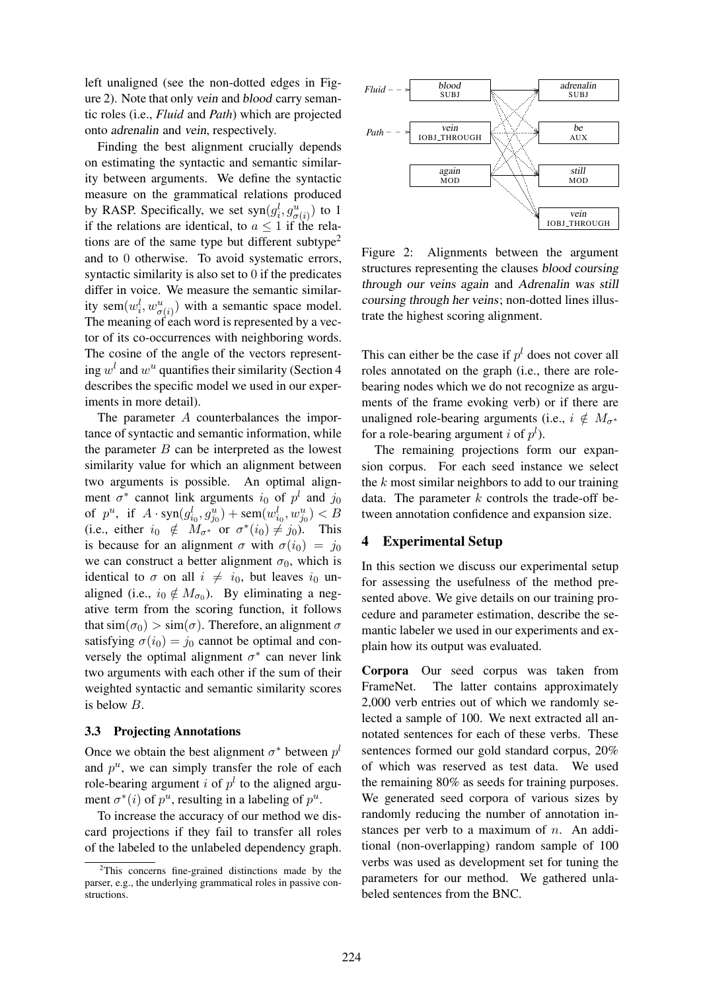left unaligned (see the non-dotted edges in Figure 2). Note that only vein and blood carry semantic roles (i.e., *Fluid* and *Path*) which are projected onto adrenalin and vein, respectively.

Finding the best alignment crucially depends on estimating the syntactic and semantic similarity between arguments. We define the syntactic measure on the grammatical relations produced by RASP. Specifically, we set  $syn(g_i^l, g_{\sigma(i)}^u)$  to 1 if the relations are identical, to  $a \leq 1$  if the relations are of the same type but different subtype<sup>2</sup> and to 0 otherwise. To avoid systematic errors, syntactic similarity is also set to 0 if the predicates differ in voice. We measure the semantic similarity sem $(w_i^l, w_{\sigma(i)}^u)$  with a semantic space model. The meaning of each word is represented by a vector of its co-occurrences with neighboring words. The cosine of the angle of the vectors representing  $w<sup>l</sup>$  and  $w<sup>u</sup>$  quantifies their similarity (Section 4 describes the specific model we used in our experiments in more detail).

The parameter A counterbalances the importance of syntactic and semantic information, while the parameter  $B$  can be interpreted as the lowest similarity value for which an alignment between two arguments is possible. An optimal alignment  $\sigma^*$  cannot link arguments  $i_0$  of  $p^l$  and  $j_0$ of  $p^u$ , if  $A \cdot \text{syn}(g_{i_0}^l, g_{j_0}^u) + \text{sem}(w_{i_0}^l, w_{j_0}^u) < B$ (i.e., either  $i_0 \notin M_{\sigma^*}$  or  $\sigma^*(i_0) \neq j_0$ ). This is because for an alignment  $\sigma$  with  $\sigma(i_0) = j_0$ we can construct a better alignment  $\sigma_0$ , which is identical to  $\sigma$  on all  $i \neq i_0$ , but leaves  $i_0$  unaligned (i.e.,  $i_0 \notin M_{\sigma_0}$ ). By eliminating a negative term from the scoring function, it follows that  $\sin(\sigma_0) > \sin(\sigma)$ . Therefore, an alignment  $\sigma$ satisfying  $\sigma(i_0) = j_0$  cannot be optimal and conversely the optimal alignment  $\sigma^*$  can never link two arguments with each other if the sum of their weighted syntactic and semantic similarity scores is below B.

#### 3.3 Projecting Annotations

Once we obtain the best alignment  $\sigma^*$  between  $p^l$ and  $p^u$ , we can simply transfer the role of each role-bearing argument *i* of  $p<sup>l</sup>$  to the aligned argument  $\sigma^*(i)$  of  $p^u$ , resulting in a labeling of  $p^u$ .

To increase the accuracy of our method we discard projections if they fail to transfer all roles of the labeled to the unlabeled dependency graph.



Figure 2: Alignments between the argument structures representing the clauses blood coursing through our veins again and Adrenalin was still coursing through her veins; non-dotted lines illustrate the highest scoring alignment.

This can either be the case if  $p<sup>l</sup>$  does not cover all roles annotated on the graph (i.e., there are rolebearing nodes which we do not recognize as arguments of the frame evoking verb) or if there are unaligned role-bearing arguments (i.e.,  $i \notin M_{\sigma^*}$ for a role-bearing argument *i* of  $p^l$ ).

The remaining projections form our expansion corpus. For each seed instance we select the  $k$  most similar neighbors to add to our training data. The parameter  $k$  controls the trade-off between annotation confidence and expansion size.

### 4 Experimental Setup

In this section we discuss our experimental setup for assessing the usefulness of the method presented above. We give details on our training procedure and parameter estimation, describe the semantic labeler we used in our experiments and explain how its output was evaluated.

Corpora Our seed corpus was taken from FrameNet. The latter contains approximately 2,000 verb entries out of which we randomly selected a sample of 100. We next extracted all annotated sentences for each of these verbs. These sentences formed our gold standard corpus, 20% of which was reserved as test data. We used the remaining 80% as seeds for training purposes. We generated seed corpora of various sizes by randomly reducing the number of annotation instances per verb to a maximum of  $n$ . An additional (non-overlapping) random sample of 100 verbs was used as development set for tuning the parameters for our method. We gathered unlabeled sentences from the BNC.

 $2$ This concerns fine-grained distinctions made by the parser, e.g., the underlying grammatical roles in passive constructions.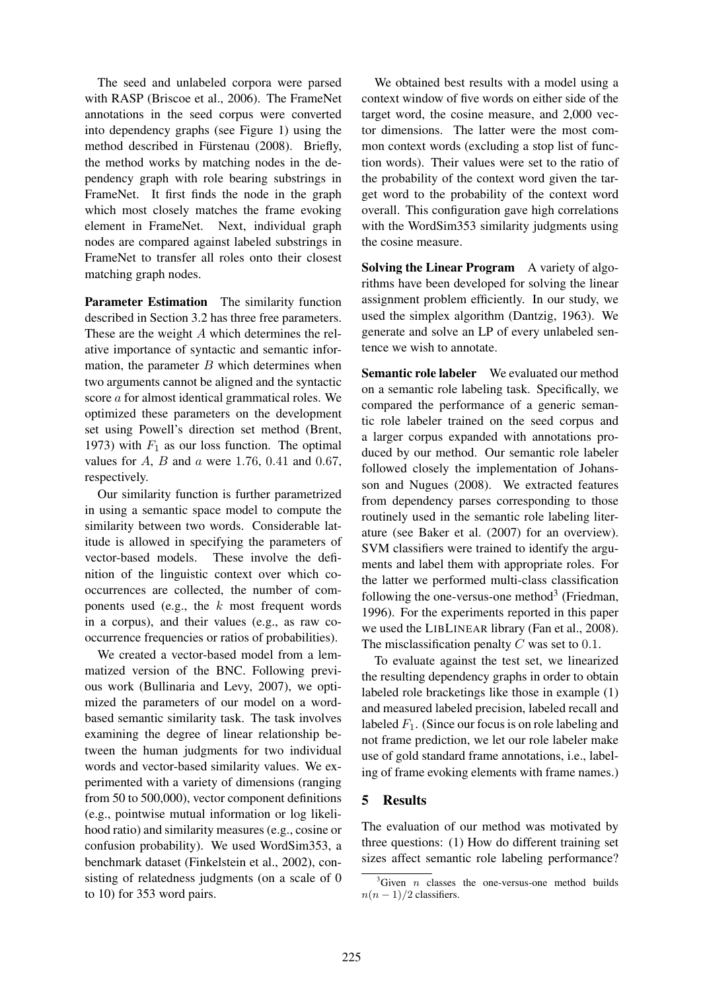The seed and unlabeled corpora were parsed with RASP (Briscoe et al., 2006). The FrameNet annotations in the seed corpus were converted into dependency graphs (see Figure 1) using the method described in Fürstenau (2008). Briefly, the method works by matching nodes in the dependency graph with role bearing substrings in FrameNet. It first finds the node in the graph which most closely matches the frame evoking element in FrameNet. Next, individual graph nodes are compared against labeled substrings in FrameNet to transfer all roles onto their closest matching graph nodes.

Parameter Estimation The similarity function described in Section 3.2 has three free parameters. These are the weight A which determines the relative importance of syntactic and semantic information, the parameter  $B$  which determines when two arguments cannot be aligned and the syntactic score a for almost identical grammatical roles. We optimized these parameters on the development set using Powell's direction set method (Brent, 1973) with  $F_1$  as our loss function. The optimal values for  $A$ ,  $B$  and  $a$  were 1.76, 0.41 and 0.67, respectively.

Our similarity function is further parametrized in using a semantic space model to compute the similarity between two words. Considerable latitude is allowed in specifying the parameters of vector-based models. These involve the definition of the linguistic context over which cooccurrences are collected, the number of components used (e.g., the  $k$  most frequent words in a corpus), and their values (e.g., as raw cooccurrence frequencies or ratios of probabilities).

We created a vector-based model from a lemmatized version of the BNC. Following previous work (Bullinaria and Levy, 2007), we optimized the parameters of our model on a wordbased semantic similarity task. The task involves examining the degree of linear relationship between the human judgments for two individual words and vector-based similarity values. We experimented with a variety of dimensions (ranging from 50 to 500,000), vector component definitions (e.g., pointwise mutual information or log likelihood ratio) and similarity measures (e.g., cosine or confusion probability). We used WordSim353, a benchmark dataset (Finkelstein et al., 2002), consisting of relatedness judgments (on a scale of 0 to 10) for 353 word pairs.

We obtained best results with a model using a context window of five words on either side of the target word, the cosine measure, and 2,000 vector dimensions. The latter were the most common context words (excluding a stop list of function words). Their values were set to the ratio of the probability of the context word given the target word to the probability of the context word overall. This configuration gave high correlations with the WordSim353 similarity judgments using the cosine measure.

Solving the Linear Program A variety of algorithms have been developed for solving the linear assignment problem efficiently. In our study, we used the simplex algorithm (Dantzig, 1963). We generate and solve an LP of every unlabeled sentence we wish to annotate.

Semantic role labeler We evaluated our method on a semantic role labeling task. Specifically, we compared the performance of a generic semantic role labeler trained on the seed corpus and a larger corpus expanded with annotations produced by our method. Our semantic role labeler followed closely the implementation of Johansson and Nugues (2008). We extracted features from dependency parses corresponding to those routinely used in the semantic role labeling literature (see Baker et al. (2007) for an overview). SVM classifiers were trained to identify the arguments and label them with appropriate roles. For the latter we performed multi-class classification following the one-versus-one method<sup>3</sup> (Friedman, 1996). For the experiments reported in this paper we used the LIBLINEAR library (Fan et al., 2008). The misclassification penalty  $C$  was set to 0.1.

To evaluate against the test set, we linearized the resulting dependency graphs in order to obtain labeled role bracketings like those in example (1) and measured labeled precision, labeled recall and labeled  $F_1$ . (Since our focus is on role labeling and not frame prediction, we let our role labeler make use of gold standard frame annotations, i.e., labeling of frame evoking elements with frame names.)

# 5 Results

The evaluation of our method was motivated by three questions: (1) How do different training set sizes affect semantic role labeling performance?

 $3$ Given *n* classes the one-versus-one method builds  $n(n-1)/2$  classifiers.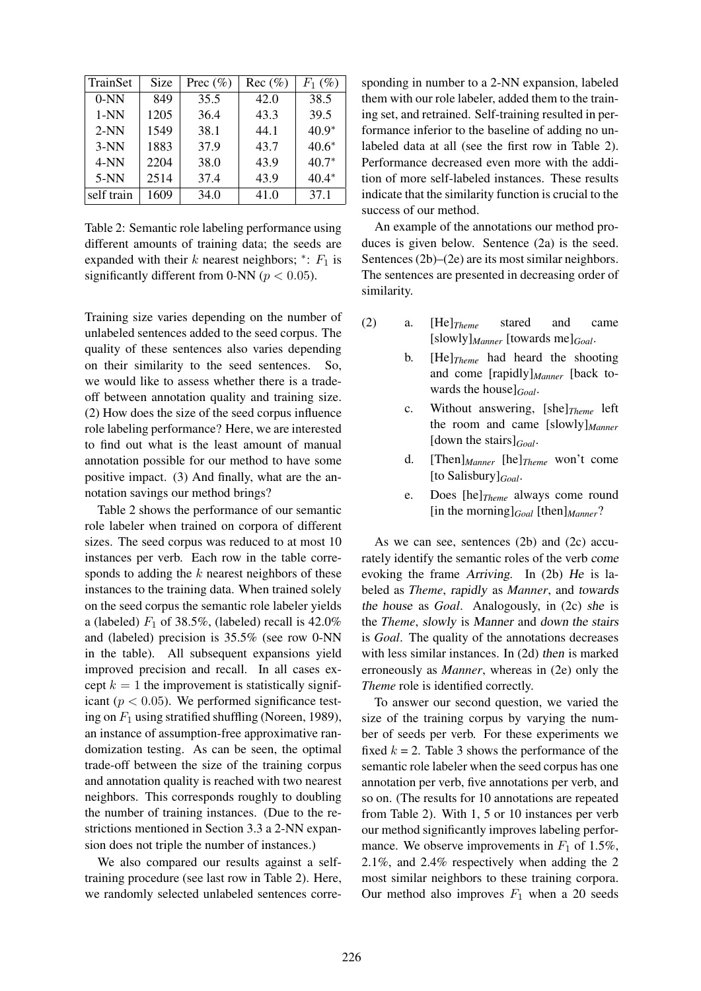| TrainSet   | Size | Prec $(\%)$ | $Rec (\%)$ | $F_1$ (%) |
|------------|------|-------------|------------|-----------|
| $0-NN$     | 849  | 35.5        | 42.0       | 38.5      |
| $1-NN$     | 1205 | 36.4        | 43.3       | 39.5      |
| $2-NN$     | 1549 | 38.1        | 44.1       | $40.9*$   |
| $3-NN$     | 1883 | 37.9        | 43.7       | $40.6*$   |
| $4-NN$     | 2204 | 38.0        | 43.9       | $40.7*$   |
| $5-NN$     | 2514 | 37.4        | 43.9       | $40.4*$   |
| self train | 1609 | 34.0        | 41.0       | 37.1      |

Table 2: Semantic role labeling performance using different amounts of training data; the seeds are expanded with their  $k$  nearest neighbors; \*:  $F_1$  is significantly different from 0-NN ( $p < 0.05$ ).

Training size varies depending on the number of unlabeled sentences added to the seed corpus. The quality of these sentences also varies depending on their similarity to the seed sentences. So, we would like to assess whether there is a tradeoff between annotation quality and training size. (2) How does the size of the seed corpus influence role labeling performance? Here, we are interested to find out what is the least amount of manual annotation possible for our method to have some positive impact. (3) And finally, what are the annotation savings our method brings?

Table 2 shows the performance of our semantic role labeler when trained on corpora of different sizes. The seed corpus was reduced to at most 10 instances per verb. Each row in the table corresponds to adding the  $k$  nearest neighbors of these instances to the training data. When trained solely on the seed corpus the semantic role labeler yields a (labeled)  $F_1$  of 38.5%, (labeled) recall is 42.0% and (labeled) precision is 35.5% (see row 0-NN in the table). All subsequent expansions yield improved precision and recall. In all cases except  $k = 1$  the improvement is statistically significant ( $p < 0.05$ ). We performed significance testing on  $F_1$  using stratified shuffling (Noreen, 1989), an instance of assumption-free approximative randomization testing. As can be seen, the optimal trade-off between the size of the training corpus and annotation quality is reached with two nearest neighbors. This corresponds roughly to doubling the number of training instances. (Due to the restrictions mentioned in Section 3.3 a 2-NN expansion does not triple the number of instances.)

We also compared our results against a selftraining procedure (see last row in Table 2). Here, we randomly selected unlabeled sentences corresponding in number to a 2-NN expansion, labeled them with our role labeler, added them to the training set, and retrained. Self-training resulted in performance inferior to the baseline of adding no unlabeled data at all (see the first row in Table 2). Performance decreased even more with the addition of more self-labeled instances. These results indicate that the similarity function is crucial to the success of our method.

An example of the annotations our method produces is given below. Sentence (2a) is the seed. Sentences (2b)–(2e) are its most similar neighbors. The sentences are presented in decreasing order of similarity.

- (2) a. [He]*Theme* stared and came [slowly]*Manner* [towards me]*Goal*.
	- b. [He]*Theme* had heard the shooting and come [rapidly]*Manner* [back towards the house]*Goal*.
	- c. Without answering, [she]*Theme* left the room and came [slowly]*Manner* [down the stairs]*Goal*.
	- d. [Then]*Manner* [he]*Theme* won't come [to Salisbury]*Goal*.
	- e. Does [he]*Theme* always come round [in the morning]*Goal* [then]*Manner*?

As we can see, sentences (2b) and (2c) accurately identify the semantic roles of the verb come evoking the frame Arriving. In (2b) He is labeled as *Theme*, rapidly as *Manner*, and towards the house as *Goal*. Analogously, in (2c) she is the *Theme*, slowly is Manner and down the stairs is *Goal*. The quality of the annotations decreases with less similar instances. In (2d) then is marked erroneously as *Manner*, whereas in (2e) only the *Theme* role is identified correctly.

To answer our second question, we varied the size of the training corpus by varying the number of seeds per verb. For these experiments we fixed  $k = 2$ . Table 3 shows the performance of the semantic role labeler when the seed corpus has one annotation per verb, five annotations per verb, and so on. (The results for 10 annotations are repeated from Table 2). With 1, 5 or 10 instances per verb our method significantly improves labeling performance. We observe improvements in  $F_1$  of 1.5%, 2.1%, and 2.4% respectively when adding the 2 most similar neighbors to these training corpora. Our method also improves  $F_1$  when a 20 seeds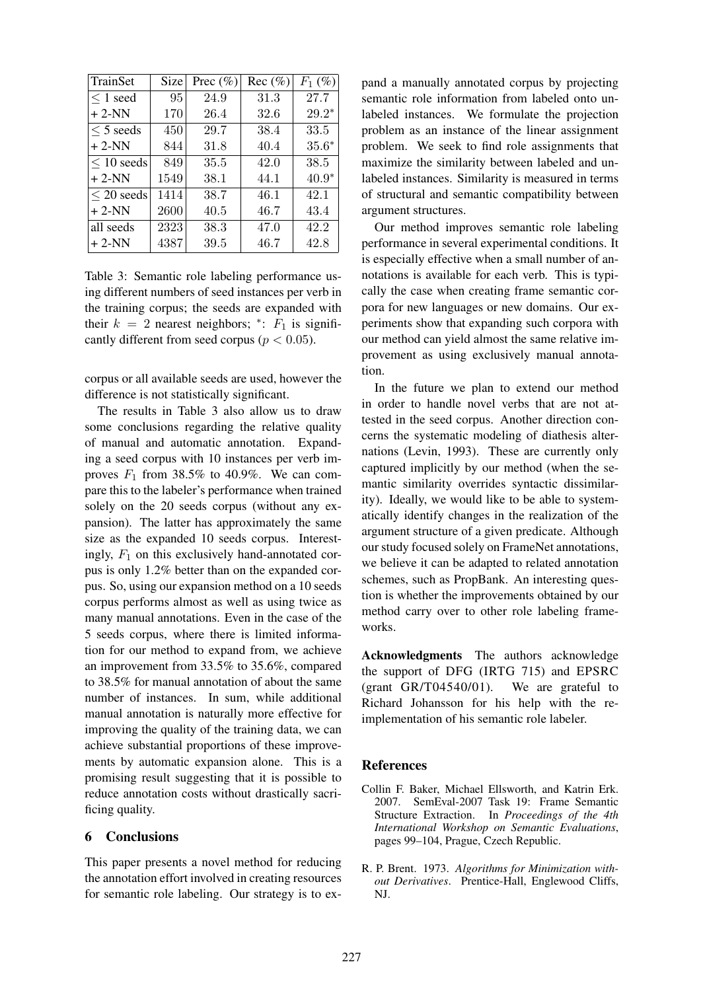| TrainSet      | <b>Size</b> | Prec $(\%)$ | $Rec (\%)$ | $F_1$ (%) |
|---------------|-------------|-------------|------------|-----------|
| $\leq 1$ seed | 95          | 24.9        | 31.3       | 27.7      |
| $+2-NN$       | 170         | 26.4        | 32.6       | $29.2*$   |
| $<$ 5 seeds   | 450         | 29.7        | 38.4       | 33.5      |
| $+2-NN$       | 844         | 31.8        | 40.4       | $35.6*$   |
| $< 10$ seeds  | 849         | 35.5        | 42.0       | 38.5      |
| $+2-NN$       | 1549        | 38.1        | 44.1       | $40.9*$   |
| $<$ 20 seeds  | 1414        | 38.7        | 46.1       | 42.1      |
| $+2-NN$       | 2600        | 40.5        | 46.7       | 43.4      |
| all seeds     | 2323        | 38.3        | 47.0       | 42.2      |
| $+2-NN$       | 4387        | 39.5        | 46.7       | 42.8      |

Table 3: Semantic role labeling performance using different numbers of seed instances per verb in the training corpus; the seeds are expanded with their  $k = 2$  nearest neighbors; \*:  $F_1$  is significantly different from seed corpus ( $p < 0.05$ ).

corpus or all available seeds are used, however the difference is not statistically significant.

The results in Table 3 also allow us to draw some conclusions regarding the relative quality of manual and automatic annotation. Expanding a seed corpus with 10 instances per verb improves  $F_1$  from 38.5% to 40.9%. We can compare this to the labeler's performance when trained solely on the 20 seeds corpus (without any expansion). The latter has approximately the same size as the expanded 10 seeds corpus. Interestingly,  $F_1$  on this exclusively hand-annotated corpus is only 1.2% better than on the expanded corpus. So, using our expansion method on a 10 seeds corpus performs almost as well as using twice as many manual annotations. Even in the case of the 5 seeds corpus, where there is limited information for our method to expand from, we achieve an improvement from 33.5% to 35.6%, compared to 38.5% for manual annotation of about the same number of instances. In sum, while additional manual annotation is naturally more effective for improving the quality of the training data, we can achieve substantial proportions of these improvements by automatic expansion alone. This is a promising result suggesting that it is possible to reduce annotation costs without drastically sacrificing quality.

### 6 Conclusions

This paper presents a novel method for reducing the annotation effort involved in creating resources for semantic role labeling. Our strategy is to expand a manually annotated corpus by projecting semantic role information from labeled onto unlabeled instances. We formulate the projection problem as an instance of the linear assignment problem. We seek to find role assignments that maximize the similarity between labeled and unlabeled instances. Similarity is measured in terms of structural and semantic compatibility between argument structures.

Our method improves semantic role labeling performance in several experimental conditions. It is especially effective when a small number of annotations is available for each verb. This is typically the case when creating frame semantic corpora for new languages or new domains. Our experiments show that expanding such corpora with our method can yield almost the same relative improvement as using exclusively manual annotation.

In the future we plan to extend our method in order to handle novel verbs that are not attested in the seed corpus. Another direction concerns the systematic modeling of diathesis alternations (Levin, 1993). These are currently only captured implicitly by our method (when the semantic similarity overrides syntactic dissimilarity). Ideally, we would like to be able to systematically identify changes in the realization of the argument structure of a given predicate. Although our study focused solely on FrameNet annotations, we believe it can be adapted to related annotation schemes, such as PropBank. An interesting question is whether the improvements obtained by our method carry over to other role labeling frameworks.

Acknowledgments The authors acknowledge the support of DFG (IRTG 715) and EPSRC (grant GR/T04540/01). We are grateful to Richard Johansson for his help with the reimplementation of his semantic role labeler.

#### References

- Collin F. Baker, Michael Ellsworth, and Katrin Erk. 2007. SemEval-2007 Task 19: Frame Semantic Structure Extraction. In *Proceedings of the 4th International Workshop on Semantic Evaluations*, pages 99–104, Prague, Czech Republic.
- R. P. Brent. 1973. *Algorithms for Minimization without Derivatives*. Prentice-Hall, Englewood Cliffs, NJ.